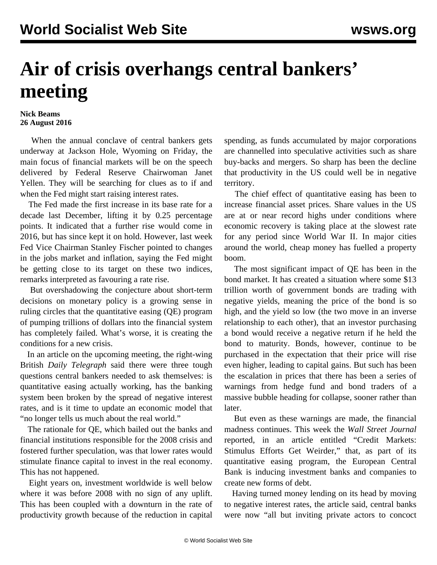## **Air of crisis overhangs central bankers' meeting**

## **Nick Beams 26 August 2016**

 When the annual conclave of central bankers gets underway at Jackson Hole, Wyoming on Friday, the main focus of financial markets will be on the speech delivered by Federal Reserve Chairwoman Janet Yellen. They will be searching for clues as to if and when the Fed might start raising interest rates.

 The Fed made the first increase in its base rate for a decade last December, lifting it by 0.25 percentage points. It indicated that a further rise would come in 2016, but has since kept it on hold. However, last week Fed Vice Chairman Stanley Fischer pointed to changes in the jobs market and inflation, saying the Fed might be getting close to its target on these two indices, remarks interpreted as favouring a rate rise.

 But overshadowing the conjecture about short-term decisions on monetary policy is a growing sense in ruling circles that the quantitative easing (QE) program of pumping trillions of dollars into the financial system has completely failed. What's worse, it is creating the conditions for a new crisis.

 In an article on the upcoming meeting, the right-wing British *Daily Telegraph* said there were three tough questions central bankers needed to ask themselves: is quantitative easing actually working, has the banking system been broken by the spread of negative interest rates, and is it time to update an economic model that "no longer tells us much about the real world."

 The rationale for QE, which bailed out the banks and financial institutions responsible for the 2008 crisis and fostered further speculation, was that lower rates would stimulate finance capital to invest in the real economy. This has not happened.

 Eight years on, investment worldwide is well below where it was before 2008 with no sign of any uplift. This has been coupled with a downturn in the rate of productivity growth because of the reduction in capital spending, as funds accumulated by major corporations are channelled into speculative activities such as share buy-backs and mergers. So sharp has been the decline that productivity in the US could well be in negative territory.

 The chief effect of quantitative easing has been to increase financial asset prices. Share values in the US are at or near record highs under conditions where economic recovery is taking place at the slowest rate for any period since World War II. In major cities around the world, cheap money has fuelled a property boom.

 The most significant impact of QE has been in the bond market. It has created a situation where some \$13 trillion worth of government bonds are trading with negative yields, meaning the price of the bond is so high, and the yield so low (the two move in an inverse relationship to each other), that an investor purchasing a bond would receive a negative return if he held the bond to maturity. Bonds, however, continue to be purchased in the expectation that their price will rise even higher, leading to capital gains. But such has been the escalation in prices that there has been a series of warnings from hedge fund and bond traders of a massive bubble heading for collapse, sooner rather than later.

 But even as these warnings are made, the financial madness continues. This week the *Wall Street Journal* reported, in an article entitled "Credit Markets: Stimulus Efforts Get Weirder," that, as part of its quantitative easing program, the European Central Bank is inducing investment banks and companies to create new forms of debt.

 Having turned money lending on its head by moving to negative interest rates, the article said, central banks were now "all but inviting private actors to concoct